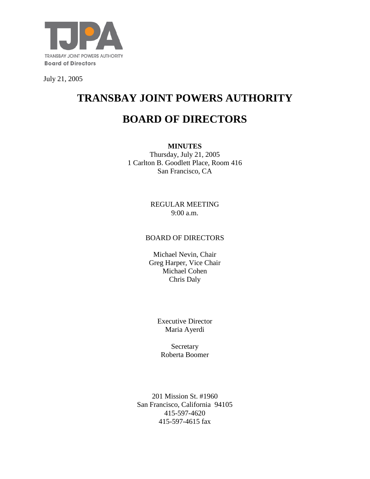

July 21, 2005

# **TRANSBAY JOINT POWERS AUTHORITY**

# **BOARD OF DIRECTORS**

**MINUTES** Thursday, July 21, 2005 1 Carlton B. Goodlett Place, Room 416 San Francisco, CA

> REGULAR MEETING 9:00 a.m.

#### BOARD OF DIRECTORS

Michael Nevin, Chair Greg Harper, Vice Chair Michael Cohen Chris Daly

> Executive Director Maria Ayerdi

Secretary Roberta Boomer

201 Mission St. #1960 San Francisco, California 94105 415-597-4620 415-597-4615 fax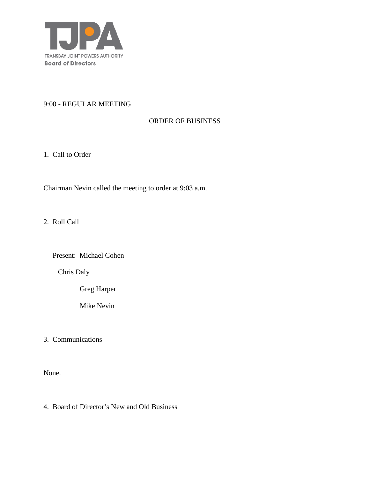

#### 9:00 - REGULAR MEETING

## ORDER OF BUSINESS

1. Call to Order

Chairman Nevin called the meeting to order at 9:03 a.m.

2. Roll Call

Present: Michael Cohen

Chris Daly

Greg Harper

Mike Nevin

3. Communications

None.

4. Board of Director's New and Old Business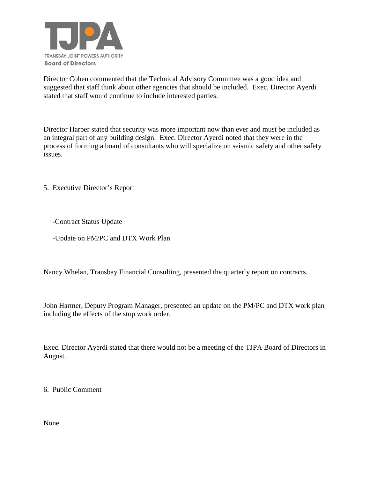

Director Cohen commented that the Technical Advisory Committee was a good idea and suggested that staff think about other agencies that should be included. Exec. Director Ayerdi stated that staff would continue to include interested parties.

Director Harper stated that security was more important now than ever and must be included as an integral part of any building design. Exec. Director Ayerdi noted that they were in the process of forming a board of consultants who will specialize on seismic safety and other safety issues.

5. Executive Director's Report

-Contract Status Update

-Update on PM/PC and DTX Work Plan

Nancy Whelan, Transbay Financial Consulting, presented the quarterly report on contracts.

John Harmer, Deputy Program Manager, presented an update on the PM/PC and DTX work plan including the effects of the stop work order.

Exec. Director Ayerdi stated that there would not be a meeting of the TJPA Board of Directors in August.

6. Public Comment

None.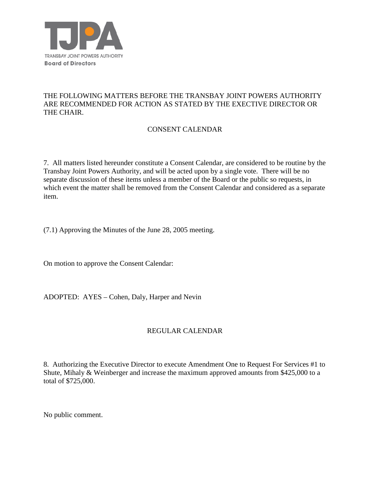

## THE FOLLOWING MATTERS BEFORE THE TRANSBAY JOINT POWERS AUTHORITY ARE RECOMMENDED FOR ACTION AS STATED BY THE EXECTIVE DIRECTOR OR THE CHAIR.

# CONSENT CALENDAR

7. All matters listed hereunder constitute a Consent Calendar, are considered to be routine by the Transbay Joint Powers Authority, and will be acted upon by a single vote. There will be no separate discussion of these items unless a member of the Board or the public so requests, in which event the matter shall be removed from the Consent Calendar and considered as a separate item.

(7.1) Approving the Minutes of the June 28, 2005 meeting.

On motion to approve the Consent Calendar:

ADOPTED: AYES – Cohen, Daly, Harper and Nevin

#### REGULAR CALENDAR

8. Authorizing the Executive Director to execute Amendment One to Request For Services #1 to Shute, Mihaly & Weinberger and increase the maximum approved amounts from \$425,000 to a total of \$725,000.

No public comment.